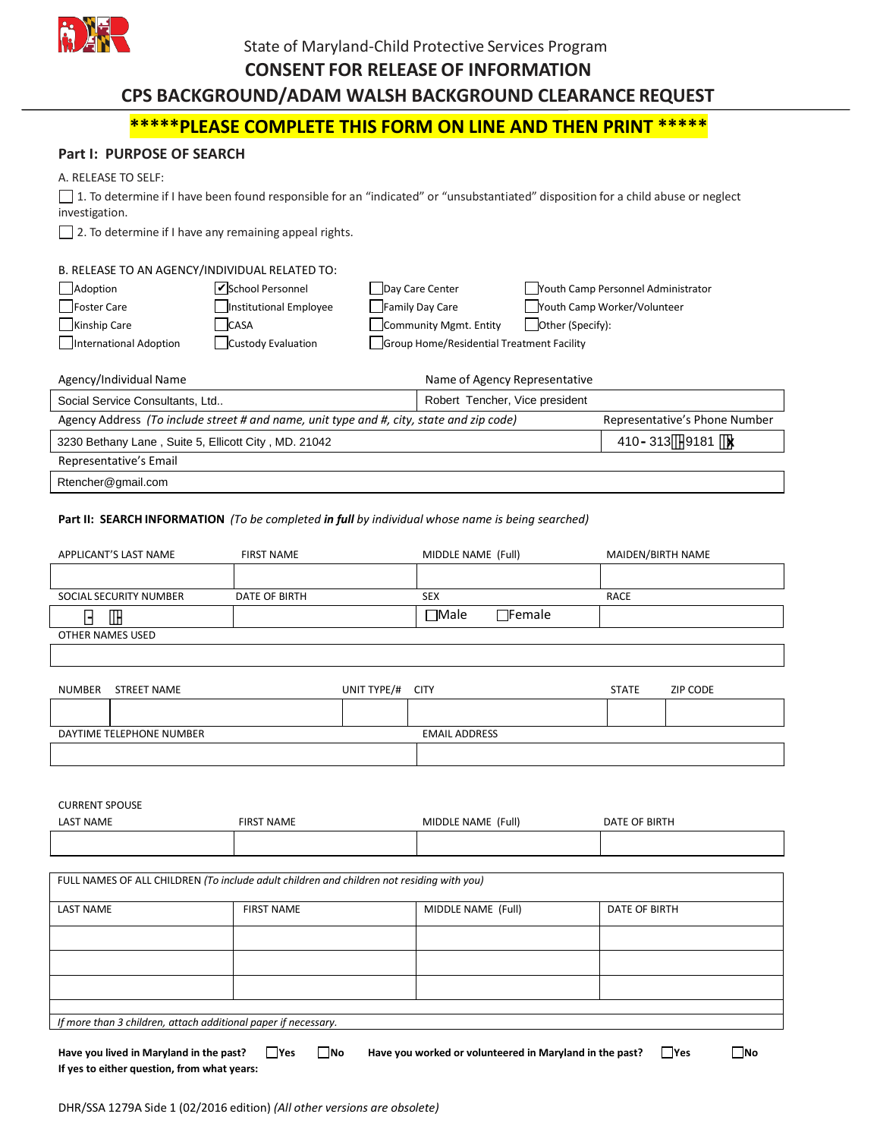

## State of Maryland-Child Protective Services Program

#### **CONSENT FOR RELEASE OF INFORMATION**

# **CPS BACKGROUND/ADAM WALSH BACKGROUND CLEARANCE REQUEST**

# **\*\*\*\*\*PLEASE COMPLETE THIS FORM ON LINE AND THEN PRINT \*\*\*\*\***

#### **Part I: PURPOSE OF SEARCH**

#### A. RELEASE TO SELF:

1. To determine if I have been found responsible for an "indicated" or "unsubstantiated" disposition for a child abuse or neglect investigation.

 $\Box$  2. To determine if I have any remaining appeal rights.

#### B. RELEASE TO AN AGENCY/INDIVIDUAL RELATED TO: Adoption **School Personnel Communisty Care Center** Play Care Center School Personnel Administrator Foster Care Institutional Employee Family Day Care Youth Camp Worker/Volunteer Kinship Care CASA Community Mgmt. Entity Other (Specify): International Adoption Custody Evaluation Group Home/Residential Treatment Facility School Personnel

| Agency/Individual Name                                                                   | Name of Agency Representative   |  |  |  |
|------------------------------------------------------------------------------------------|---------------------------------|--|--|--|
| Social Service Consultants, Ltd                                                          | Robert Tencher, Vice president  |  |  |  |
| Agency Address (To include street # and name, unit type and #, city, state and zip code) | Representative's Phone Number   |  |  |  |
| 3230 Bethany Lane, Suite 5, Ellicott City, MD. 21042                                     | 410 - 313 - 9181 $\overline{x}$ |  |  |  |
| Representative's Email                                                                   |                                 |  |  |  |
| Rtencher@gmail.com                                                                       |                                 |  |  |  |

#### **Part II: SEARCH INFORMATION** *(To be completed in full by individual whose name is being searched)*

| APPLICANT'S LAST NAME                                                                     | <b>FIRST NAME</b> |             | MIDDLE NAME (Full)           |               | MAIDEN/BIRTH NAME |
|-------------------------------------------------------------------------------------------|-------------------|-------------|------------------------------|---------------|-------------------|
|                                                                                           |                   |             |                              |               |                   |
| SOCIAL SECURITY NUMBER                                                                    | DATE OF BIRTH     |             | <b>SEX</b>                   | <b>RACE</b>   |                   |
| $\cdots$                                                                                  |                   |             | $\Box$ Female<br>$\Box$ Male |               |                   |
| OTHER NAMES USED                                                                          |                   |             |                              |               |                   |
|                                                                                           |                   |             |                              |               |                   |
| <b>STREET NAME</b><br><b>NUMBER</b>                                                       |                   | UNIT TYPE/# | <b>CITY</b>                  | <b>STATE</b>  | ZIP CODE          |
|                                                                                           |                   |             |                              |               |                   |
| DAYTIME TELEPHONE NUMBER                                                                  |                   |             | <b>EMAIL ADDRESS</b>         |               |                   |
|                                                                                           |                   |             |                              |               |                   |
|                                                                                           |                   |             |                              |               |                   |
| <b>CURRENT SPOUSE</b>                                                                     |                   |             |                              |               |                   |
| <b>LAST NAME</b>                                                                          | <b>FIRST NAME</b> |             | MIDDLE NAME (Full)           | DATE OF BIRTH |                   |
|                                                                                           |                   |             |                              |               |                   |
|                                                                                           |                   |             |                              |               |                   |
| FULL NAMES OF ALL CHILDREN (To include adult children and children not residing with you) |                   |             |                              |               |                   |

| <b>LAST NAME</b>                                               | <b>FIRST NAME</b> | MIDDLE NAME (Full) | DATE OF BIRTH |  |
|----------------------------------------------------------------|-------------------|--------------------|---------------|--|
|                                                                |                   |                    |               |  |
|                                                                |                   |                    |               |  |
|                                                                |                   |                    |               |  |
|                                                                |                   |                    |               |  |
| If more than 3 children, attach additional paper if necessary. |                   |                    |               |  |
|                                                                |                   |                    |               |  |

| Have you lived in Maryland in the past?     | <b>Yes</b> | <b>INo</b> | Have you worked or volunteered in Maryland in the past? | <b>Yes</b> | <b>No</b> |
|---------------------------------------------|------------|------------|---------------------------------------------------------|------------|-----------|
| If yes to either question, from what years: |            |            |                                                         |            |           |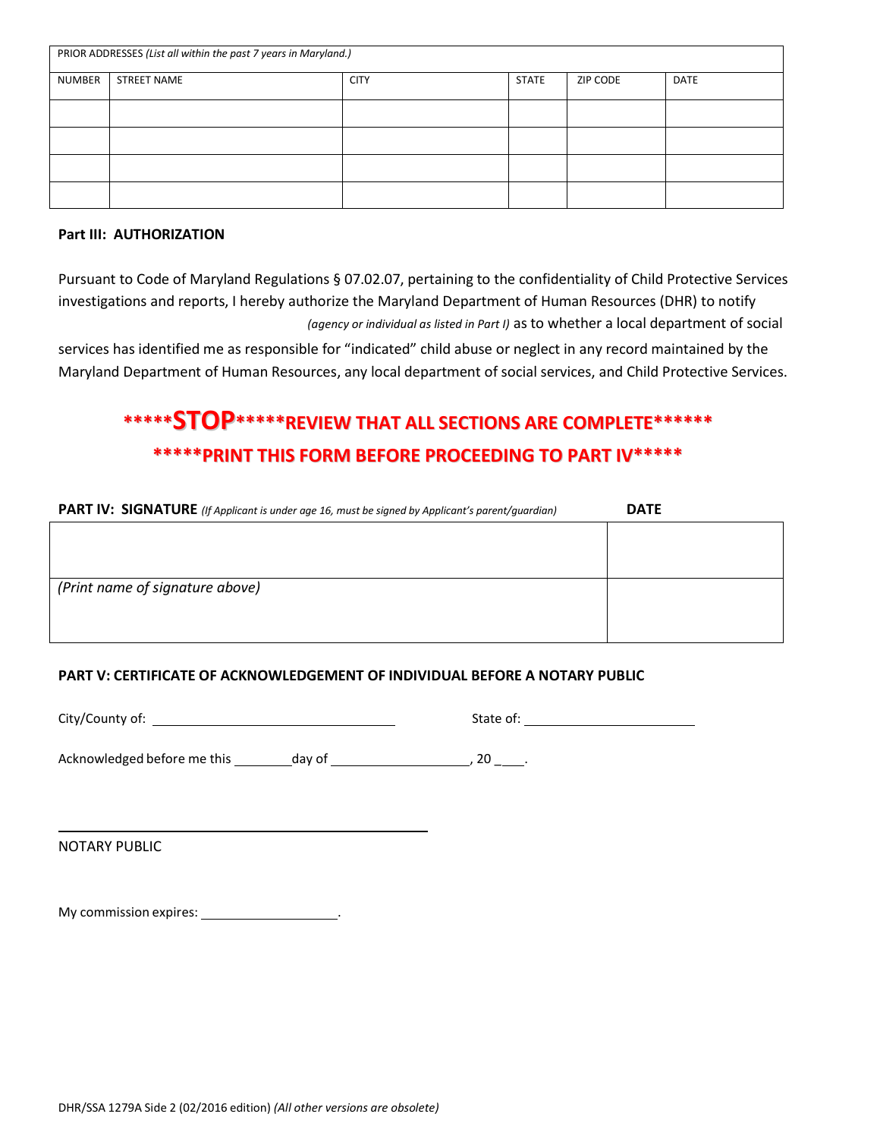| PRIOR ADDRESSES (List all within the past 7 years in Maryland.) |                    |             |              |          |             |
|-----------------------------------------------------------------|--------------------|-------------|--------------|----------|-------------|
| NUMBER                                                          | <b>STREET NAME</b> | <b>CITY</b> | <b>STATE</b> | ZIP CODE | <b>DATE</b> |
|                                                                 |                    |             |              |          |             |
|                                                                 |                    |             |              |          |             |
|                                                                 |                    |             |              |          |             |
|                                                                 |                    |             |              |          |             |

## **Part III: AUTHORIZATION**

Pursuant to Code of Maryland Regulations § 07.02.07, pertaining to the confidentiality of Child Protective Services investigations and reports, I hereby authorize the Maryland Department of Human Resources (DHR) to notify *(agency or individual as listed in Part I)* as to whether a local department of social

services has identified me as responsible for "indicated" child abuse or neglect in any record maintained by the Maryland Department of Human Resources, any local department of social services, and Child Protective Services.

# **\*\*\*\*\*STOP\*\*\*\*\*REVIEWTHATALLSECTIONSARECOMPLETE\*\*\*\*\*\* \*\*\*\*\*PRINTTHISFORMBEFOREPROCEEDINGTOPARTIV\*\*\*\*\***

| <b>PART IV: SIGNATURE</b> (If Applicant is under age 16, must be signed by Applicant's parent/guardian) | <b>DATE</b> |
|---------------------------------------------------------------------------------------------------------|-------------|
|                                                                                                         |             |
|                                                                                                         |             |
| (Print name of signature above)                                                                         |             |
|                                                                                                         |             |
|                                                                                                         |             |
|                                                                                                         |             |

## **PART V: CERTIFICATE OF ACKNOWLEDGEMENT OF INDIVIDUAL BEFORE A NOTARY PUBLIC**

City/County of: State of:

Acknowledged before me this day of day of the state of the state of  $\sim$  20  $\sim$ .

NOTARY PUBLIC

My commission expires: \_\_\_\_\_\_\_\_\_\_\_\_\_\_\_\_\_\_\_\_\_\_.